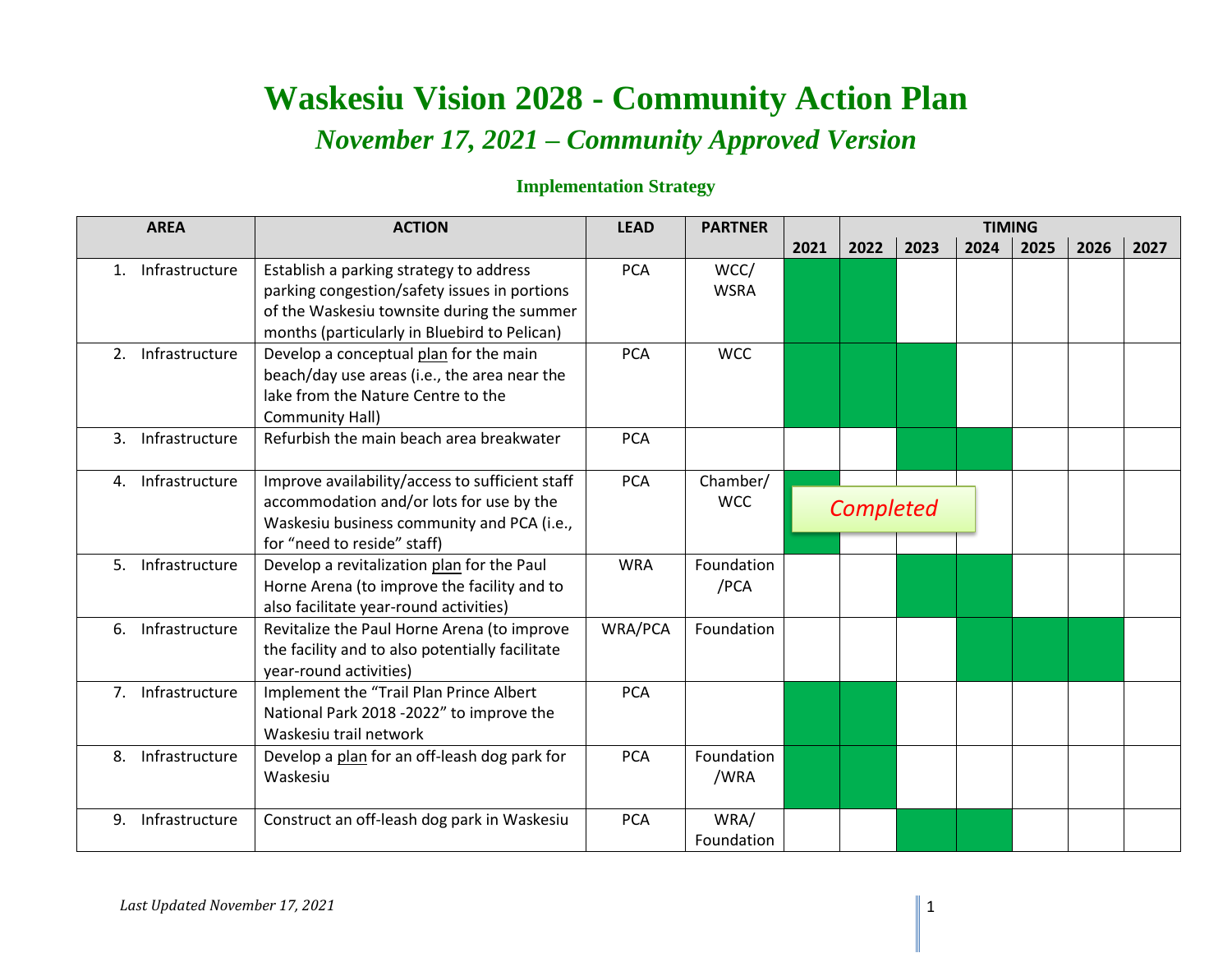## **Waskesiu Vision 2028 - Community Action Plan** *November 17, 2021 – Community Approved Version*

## **Implementation Strategy**

| <b>AREA</b>                      | <b>ACTION</b>                                                                                                                                                                         | <b>LEAD</b> | <b>PARTNER</b>         |      | <b>TIMING</b> |      |      |      |      |      |
|----------------------------------|---------------------------------------------------------------------------------------------------------------------------------------------------------------------------------------|-------------|------------------------|------|---------------|------|------|------|------|------|
|                                  |                                                                                                                                                                                       |             |                        | 2021 | 2022          | 2023 | 2024 | 2025 | 2026 | 2027 |
| Infrastructure<br>$1_{\cdot}$    | Establish a parking strategy to address<br>parking congestion/safety issues in portions<br>of the Waskesiu townsite during the summer<br>months (particularly in Bluebird to Pelican) | <b>PCA</b>  | WCC/<br><b>WSRA</b>    |      |               |      |      |      |      |      |
| Infrastructure<br>2.             | Develop a conceptual plan for the main<br>beach/day use areas (i.e., the area near the<br>lake from the Nature Centre to the<br>Community Hall)                                       | <b>PCA</b>  | <b>WCC</b>             |      |               |      |      |      |      |      |
| Infrastructure<br>3.             | Refurbish the main beach area breakwater                                                                                                                                              | <b>PCA</b>  |                        |      |               |      |      |      |      |      |
| Infrastructure<br>4.             | Improve availability/access to sufficient staff<br>accommodation and/or lots for use by the<br>Waskesiu business community and PCA (i.e.,<br>for "need to reside" staff)              | <b>PCA</b>  | Chamber/<br><b>WCC</b> |      | Completed     |      |      |      |      |      |
| Infrastructure<br>5.             | Develop a revitalization plan for the Paul<br>Horne Arena (to improve the facility and to<br>also facilitate year-round activities)                                                   | <b>WRA</b>  | Foundation<br>/PCA     |      |               |      |      |      |      |      |
| 6. Infrastructure                | Revitalize the Paul Horne Arena (to improve<br>the facility and to also potentially facilitate<br>year-round activities)                                                              | WRA/PCA     | Foundation             |      |               |      |      |      |      |      |
| Infrastructure<br>7 <sub>1</sub> | Implement the "Trail Plan Prince Albert<br>National Park 2018 -2022" to improve the<br>Waskesiu trail network                                                                         | <b>PCA</b>  |                        |      |               |      |      |      |      |      |
| Infrastructure<br>8.             | Develop a plan for an off-leash dog park for<br>Waskesiu                                                                                                                              | <b>PCA</b>  | Foundation<br>/WRA     |      |               |      |      |      |      |      |
| Infrastructure<br>9.             | Construct an off-leash dog park in Waskesiu                                                                                                                                           | <b>PCA</b>  | WRA/<br>Foundation     |      |               |      |      |      |      |      |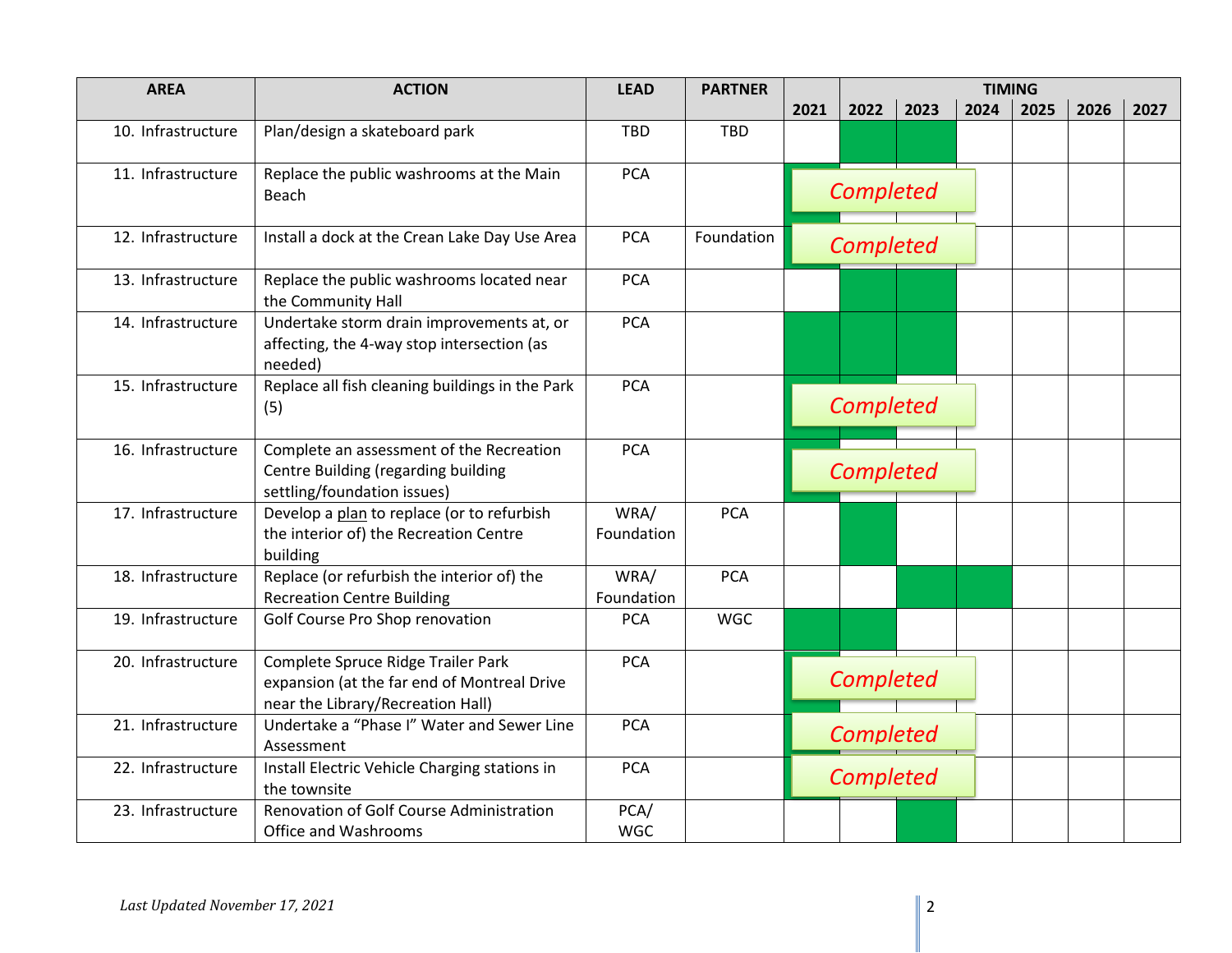| <b>AREA</b>        | <b>ACTION</b>                                                                                                          | <b>LEAD</b>        | <b>PARTNER</b> | <b>TIMING</b> |           |      |      |      |      |      |
|--------------------|------------------------------------------------------------------------------------------------------------------------|--------------------|----------------|---------------|-----------|------|------|------|------|------|
|                    |                                                                                                                        |                    |                | 2021          | 2022      | 2023 | 2024 | 2025 | 2026 | 2027 |
| 10. Infrastructure | Plan/design a skateboard park                                                                                          | <b>TBD</b>         | <b>TBD</b>     |               |           |      |      |      |      |      |
| 11. Infrastructure | Replace the public washrooms at the Main<br>Beach                                                                      | <b>PCA</b>         |                |               | Completed |      |      |      |      |      |
| 12. Infrastructure | Install a dock at the Crean Lake Day Use Area                                                                          | <b>PCA</b>         | Foundation     |               | Completed |      |      |      |      |      |
| 13. Infrastructure | Replace the public washrooms located near<br>the Community Hall                                                        | <b>PCA</b>         |                |               |           |      |      |      |      |      |
| 14. Infrastructure | Undertake storm drain improvements at, or<br>affecting, the 4-way stop intersection (as<br>needed)                     | <b>PCA</b>         |                |               |           |      |      |      |      |      |
| 15. Infrastructure | Replace all fish cleaning buildings in the Park<br>(5)                                                                 | <b>PCA</b>         |                |               | Completed |      |      |      |      |      |
| 16. Infrastructure | Complete an assessment of the Recreation<br>Centre Building (regarding building<br>settling/foundation issues)         | <b>PCA</b>         |                |               | Completed |      |      |      |      |      |
| 17. Infrastructure | Develop a plan to replace (or to refurbish<br>the interior of) the Recreation Centre<br>building                       | WRA/<br>Foundation | <b>PCA</b>     |               |           |      |      |      |      |      |
| 18. Infrastructure | Replace (or refurbish the interior of) the<br><b>Recreation Centre Building</b>                                        | WRA/<br>Foundation | <b>PCA</b>     |               |           |      |      |      |      |      |
| 19. Infrastructure | Golf Course Pro Shop renovation                                                                                        | <b>PCA</b>         | <b>WGC</b>     |               |           |      |      |      |      |      |
| 20. Infrastructure | Complete Spruce Ridge Trailer Park<br>expansion (at the far end of Montreal Drive<br>near the Library/Recreation Hall) | <b>PCA</b>         |                |               | Completed |      |      |      |      |      |
| 21. Infrastructure | Undertake a "Phase I" Water and Sewer Line<br>Assessment                                                               | <b>PCA</b>         |                |               | Completed |      |      |      |      |      |
| 22. Infrastructure | Install Electric Vehicle Charging stations in<br>the townsite                                                          | <b>PCA</b>         |                |               | Completed |      |      |      |      |      |
| 23. Infrastructure | <b>Renovation of Golf Course Administration</b><br>Office and Washrooms                                                | PCA/<br><b>WGC</b> |                |               |           |      |      |      |      |      |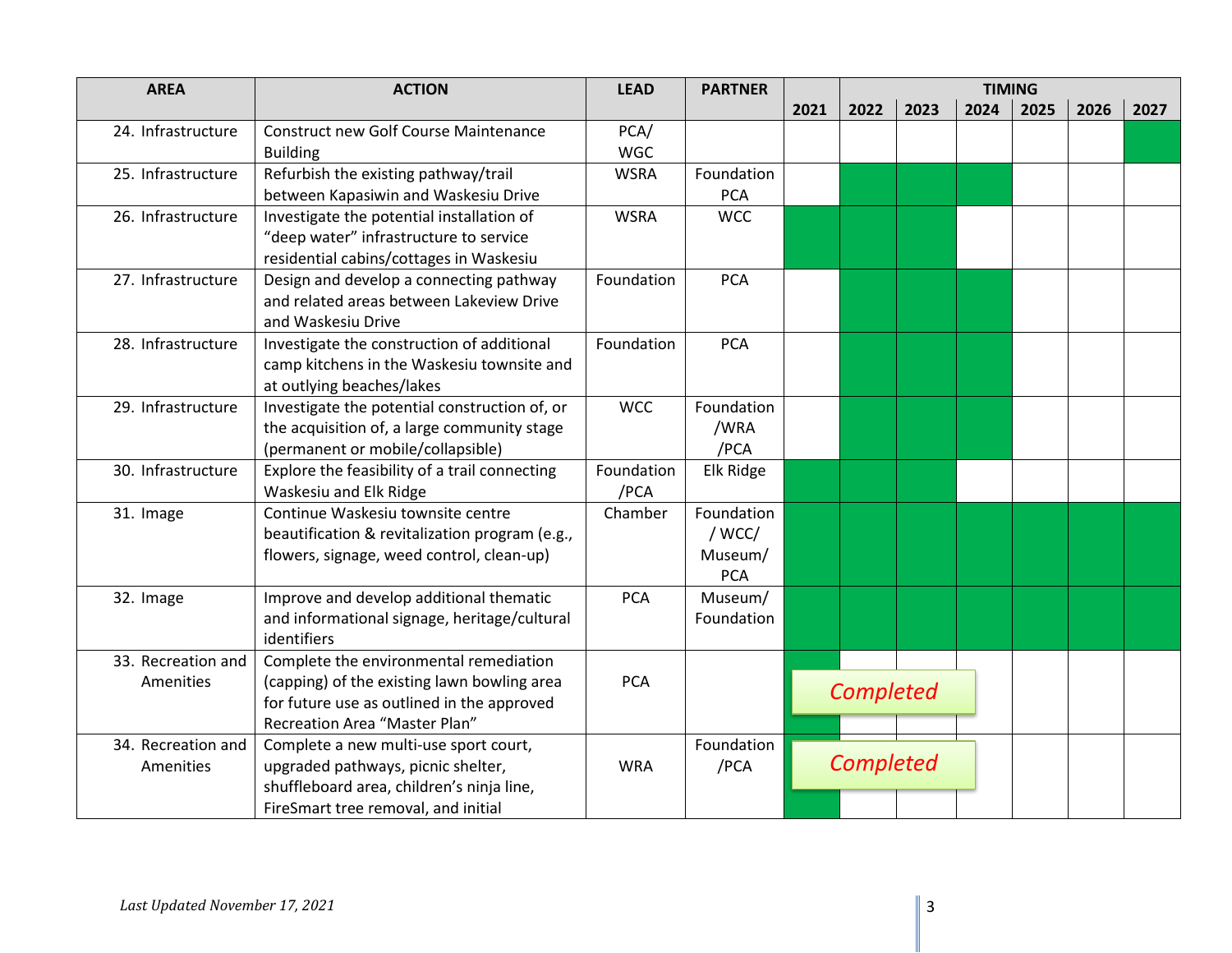| <b>AREA</b>        | <b>ACTION</b>                                                                             | <b>LEAD</b> | <b>PARTNER</b> |           | <b>TIMING</b> |      |      |      |      |      |
|--------------------|-------------------------------------------------------------------------------------------|-------------|----------------|-----------|---------------|------|------|------|------|------|
|                    |                                                                                           |             |                | 2021      | 2022          | 2023 | 2024 | 2025 | 2026 | 2027 |
| 24. Infrastructure | <b>Construct new Golf Course Maintenance</b>                                              | PCA/        |                |           |               |      |      |      |      |      |
|                    | <b>Building</b>                                                                           | <b>WGC</b>  |                |           |               |      |      |      |      |      |
| 25. Infrastructure | Refurbish the existing pathway/trail                                                      | <b>WSRA</b> | Foundation     |           |               |      |      |      |      |      |
|                    | between Kapasiwin and Waskesiu Drive                                                      |             | <b>PCA</b>     |           |               |      |      |      |      |      |
| 26. Infrastructure | Investigate the potential installation of                                                 | <b>WSRA</b> | <b>WCC</b>     |           |               |      |      |      |      |      |
|                    | "deep water" infrastructure to service                                                    |             |                |           |               |      |      |      |      |      |
|                    | residential cabins/cottages in Waskesiu                                                   |             |                |           |               |      |      |      |      |      |
| 27. Infrastructure | Design and develop a connecting pathway                                                   | Foundation  | <b>PCA</b>     |           |               |      |      |      |      |      |
|                    | and related areas between Lakeview Drive                                                  |             |                |           |               |      |      |      |      |      |
|                    | and Waskesiu Drive                                                                        |             |                |           |               |      |      |      |      |      |
| 28. Infrastructure | Investigate the construction of additional                                                | Foundation  | <b>PCA</b>     |           |               |      |      |      |      |      |
|                    | camp kitchens in the Waskesiu townsite and                                                |             |                |           |               |      |      |      |      |      |
|                    | at outlying beaches/lakes                                                                 |             |                |           |               |      |      |      |      |      |
| 29. Infrastructure | Investigate the potential construction of, or                                             | <b>WCC</b>  | Foundation     |           |               |      |      |      |      |      |
|                    | the acquisition of, a large community stage                                               |             | /WRA           |           |               |      |      |      |      |      |
|                    | (permanent or mobile/collapsible)                                                         |             | /PCA           |           |               |      |      |      |      |      |
| 30. Infrastructure | Explore the feasibility of a trail connecting                                             | Foundation  | Elk Ridge      |           |               |      |      |      |      |      |
|                    | Waskesiu and Elk Ridge                                                                    | /PCA        |                |           |               |      |      |      |      |      |
| 31. Image          | Continue Waskesiu townsite centre                                                         | Chamber     | Foundation     |           |               |      |      |      |      |      |
|                    | beautification & revitalization program (e.g.,                                            |             | / WCC/         |           |               |      |      |      |      |      |
|                    | flowers, signage, weed control, clean-up)                                                 |             | Museum/        |           |               |      |      |      |      |      |
|                    |                                                                                           |             | <b>PCA</b>     |           |               |      |      |      |      |      |
| 32. Image          | Improve and develop additional thematic                                                   | <b>PCA</b>  | Museum/        |           |               |      |      |      |      |      |
|                    | and informational signage, heritage/cultural<br>identifiers                               |             | Foundation     |           |               |      |      |      |      |      |
| 33. Recreation and | Complete the environmental remediation                                                    |             |                |           |               |      |      |      |      |      |
| Amenities          |                                                                                           | <b>PCA</b>  |                |           |               |      |      |      |      |      |
|                    | (capping) of the existing lawn bowling area<br>for future use as outlined in the approved |             |                | Completed |               |      |      |      |      |      |
|                    | Recreation Area "Master Plan"                                                             |             |                |           |               |      |      |      |      |      |
| 34. Recreation and | Complete a new multi-use sport court,                                                     |             | Foundation     |           |               |      |      |      |      |      |
| Amenities          | upgraded pathways, picnic shelter,                                                        | <b>WRA</b>  | /PCA           |           | Completed     |      |      |      |      |      |
|                    | shuffleboard area, children's ninja line,                                                 |             |                |           |               |      |      |      |      |      |
|                    | FireSmart tree removal, and initial                                                       |             |                |           |               |      |      |      |      |      |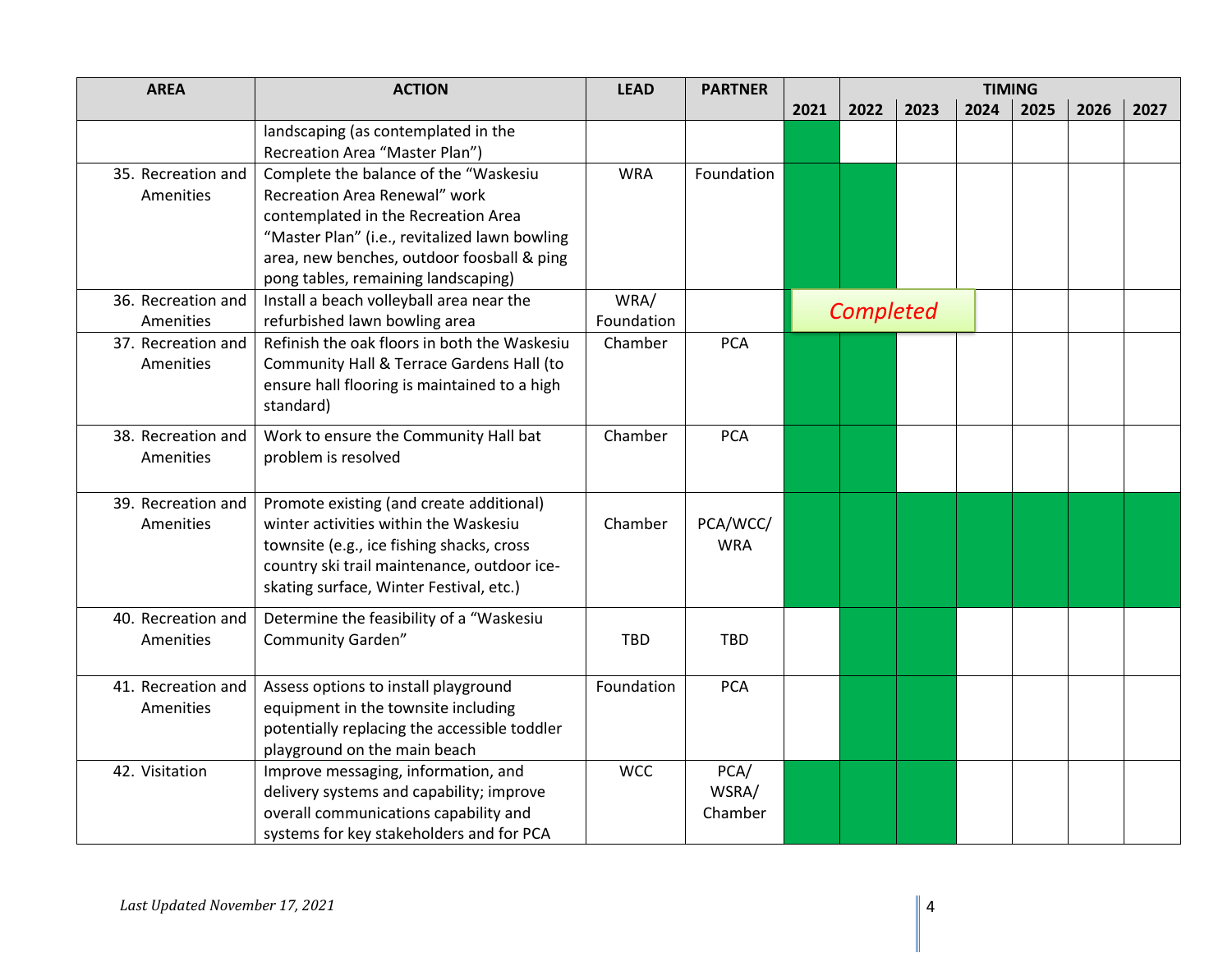| <b>AREA</b>        | <b>ACTION</b>                                                                     | <b>LEAD</b> | <b>PARTNER</b> | <b>TIMING</b> |           |      |      |      |      |      |
|--------------------|-----------------------------------------------------------------------------------|-------------|----------------|---------------|-----------|------|------|------|------|------|
|                    |                                                                                   |             |                | 2021          | 2022      | 2023 | 2024 | 2025 | 2026 | 2027 |
|                    | landscaping (as contemplated in the                                               |             |                |               |           |      |      |      |      |      |
|                    | Recreation Area "Master Plan")                                                    |             |                |               |           |      |      |      |      |      |
| 35. Recreation and | Complete the balance of the "Waskesiu                                             | <b>WRA</b>  | Foundation     |               |           |      |      |      |      |      |
| Amenities          | Recreation Area Renewal" work                                                     |             |                |               |           |      |      |      |      |      |
|                    | contemplated in the Recreation Area                                               |             |                |               |           |      |      |      |      |      |
|                    | "Master Plan" (i.e., revitalized lawn bowling                                     |             |                |               |           |      |      |      |      |      |
|                    | area, new benches, outdoor foosball & ping                                        |             |                |               |           |      |      |      |      |      |
| 36. Recreation and | pong tables, remaining landscaping)<br>Install a beach volleyball area near the   | WRA/        |                |               |           |      |      |      |      |      |
| Amenities          | refurbished lawn bowling area                                                     | Foundation  |                |               | Completed |      |      |      |      |      |
| 37. Recreation and | Refinish the oak floors in both the Waskesiu                                      | Chamber     | <b>PCA</b>     |               |           |      |      |      |      |      |
| Amenities          | Community Hall & Terrace Gardens Hall (to                                         |             |                |               |           |      |      |      |      |      |
|                    | ensure hall flooring is maintained to a high                                      |             |                |               |           |      |      |      |      |      |
|                    | standard)                                                                         |             |                |               |           |      |      |      |      |      |
| 38. Recreation and | Work to ensure the Community Hall bat                                             | Chamber     | <b>PCA</b>     |               |           |      |      |      |      |      |
| Amenities          | problem is resolved                                                               |             |                |               |           |      |      |      |      |      |
|                    |                                                                                   |             |                |               |           |      |      |      |      |      |
| 39. Recreation and | Promote existing (and create additional)                                          |             |                |               |           |      |      |      |      |      |
| Amenities          | winter activities within the Waskesiu                                             | Chamber     | PCA/WCC/       |               |           |      |      |      |      |      |
|                    | townsite (e.g., ice fishing shacks, cross                                         |             | <b>WRA</b>     |               |           |      |      |      |      |      |
|                    | country ski trail maintenance, outdoor ice-                                       |             |                |               |           |      |      |      |      |      |
|                    | skating surface, Winter Festival, etc.)                                           |             |                |               |           |      |      |      |      |      |
| 40. Recreation and | Determine the feasibility of a "Waskesiu                                          |             |                |               |           |      |      |      |      |      |
| Amenities          | <b>Community Garden"</b>                                                          | <b>TBD</b>  | <b>TBD</b>     |               |           |      |      |      |      |      |
|                    |                                                                                   |             |                |               |           |      |      |      |      |      |
| 41. Recreation and | Assess options to install playground                                              | Foundation  | <b>PCA</b>     |               |           |      |      |      |      |      |
| Amenities          | equipment in the townsite including                                               |             |                |               |           |      |      |      |      |      |
|                    | potentially replacing the accessible toddler                                      |             |                |               |           |      |      |      |      |      |
|                    | playground on the main beach                                                      |             |                |               |           |      |      |      |      |      |
| 42. Visitation     | Improve messaging, information, and                                               | <b>WCC</b>  | PCA/           |               |           |      |      |      |      |      |
|                    | delivery systems and capability; improve                                          |             | WSRA/          |               |           |      |      |      |      |      |
|                    | overall communications capability and<br>systems for key stakeholders and for PCA |             | Chamber        |               |           |      |      |      |      |      |
|                    |                                                                                   |             |                |               |           |      |      |      |      |      |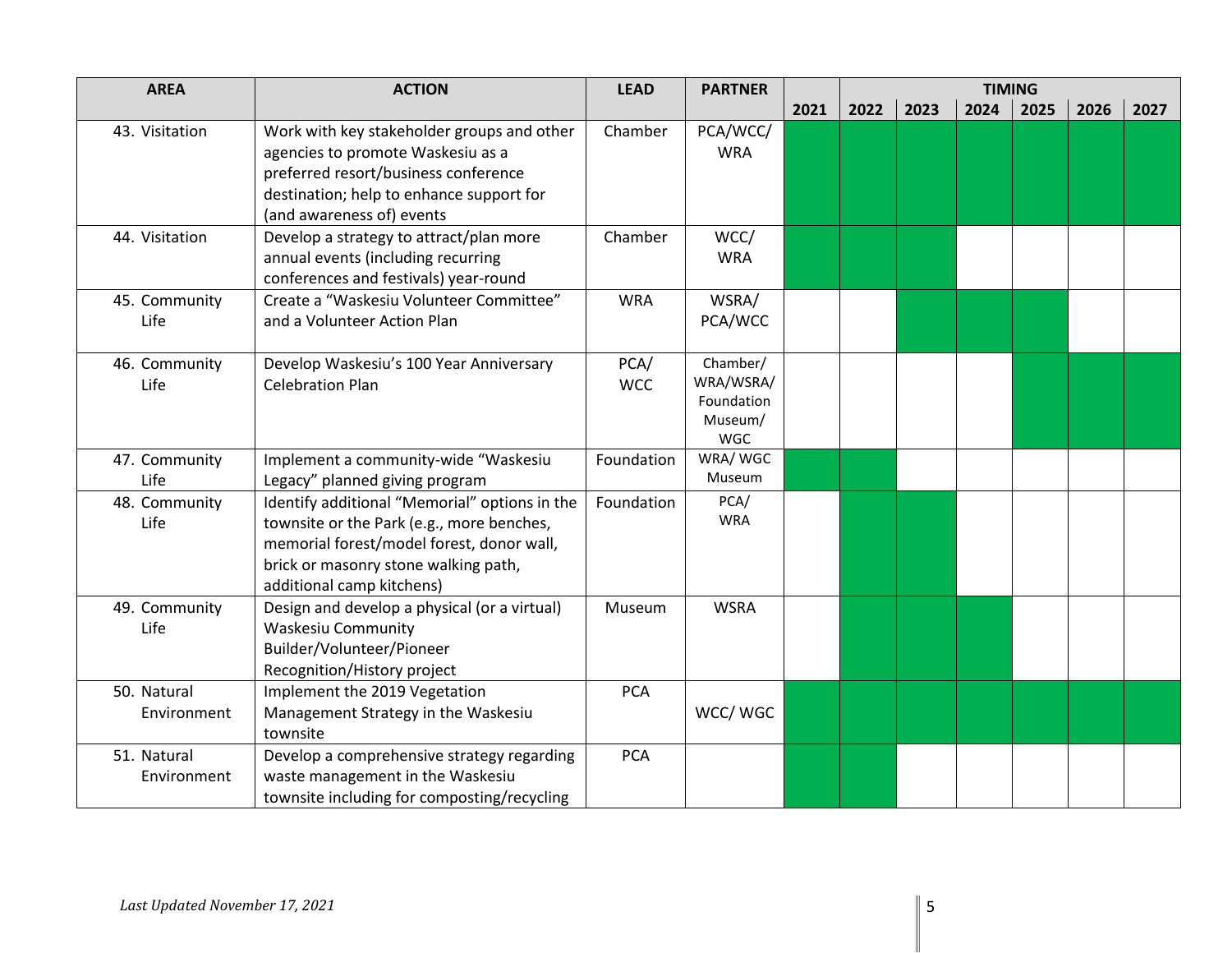| <b>AREA</b>                | <b>ACTION</b>                                                                                                                                                                                                | <b>LEAD</b>        | <b>PARTNER</b>                                        | <b>TIMING</b> |      |      |      |      |      |      |
|----------------------------|--------------------------------------------------------------------------------------------------------------------------------------------------------------------------------------------------------------|--------------------|-------------------------------------------------------|---------------|------|------|------|------|------|------|
|                            |                                                                                                                                                                                                              |                    |                                                       | 2021          | 2022 | 2023 | 2024 | 2025 | 2026 | 2027 |
| 43. Visitation             | Work with key stakeholder groups and other<br>agencies to promote Waskesiu as a<br>preferred resort/business conference<br>destination; help to enhance support for<br>(and awareness of) events             | Chamber            | PCA/WCC/<br><b>WRA</b>                                |               |      |      |      |      |      |      |
| 44. Visitation             | Develop a strategy to attract/plan more<br>annual events (including recurring<br>conferences and festivals) year-round                                                                                       | Chamber            | WCC/<br><b>WRA</b>                                    |               |      |      |      |      |      |      |
| 45. Community<br>Life      | Create a "Waskesiu Volunteer Committee"<br>and a Volunteer Action Plan                                                                                                                                       | <b>WRA</b>         | WSRA/<br>PCA/WCC                                      |               |      |      |      |      |      |      |
| 46. Community<br>Life      | Develop Waskesiu's 100 Year Anniversary<br><b>Celebration Plan</b>                                                                                                                                           | PCA/<br><b>WCC</b> | Chamber/<br>WRA/WSRA/<br>Foundation<br>Museum/<br>WGC |               |      |      |      |      |      |      |
| 47. Community<br>Life      | Implement a community-wide "Waskesiu<br>Legacy" planned giving program                                                                                                                                       | Foundation         | WRA/WGC<br>Museum                                     |               |      |      |      |      |      |      |
| 48. Community<br>Life      | Identify additional "Memorial" options in the<br>townsite or the Park (e.g., more benches,<br>memorial forest/model forest, donor wall,<br>brick or masonry stone walking path,<br>additional camp kitchens) | Foundation         | PCA/<br><b>WRA</b>                                    |               |      |      |      |      |      |      |
| 49. Community<br>Life      | Design and develop a physical (or a virtual)<br><b>Waskesiu Community</b><br>Builder/Volunteer/Pioneer<br>Recognition/History project                                                                        | Museum             | <b>WSRA</b>                                           |               |      |      |      |      |      |      |
| 50. Natural<br>Environment | Implement the 2019 Vegetation<br>Management Strategy in the Waskesiu<br>townsite                                                                                                                             | <b>PCA</b>         | WCC/WGC                                               |               |      |      |      |      |      |      |
| 51. Natural<br>Environment | Develop a comprehensive strategy regarding<br>waste management in the Waskesiu<br>townsite including for composting/recycling                                                                                | <b>PCA</b>         |                                                       |               |      |      |      |      |      |      |